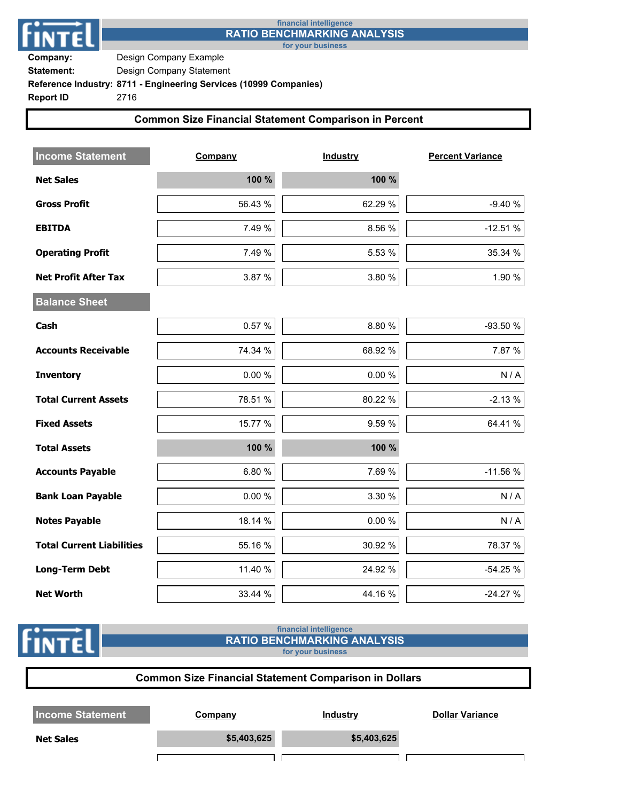

## **financial intelligence RATIO BENCHMARKING ANALYSIS**

**for your business**

**Company:** Design Company Example **Statement:** Design Company Statement

**Reference Industry: 8711 - Engineering Services (10999 Companies)**

**Report ID** 2716

**FINTE** 

## **Common Size Financial Statement Comparison in Percent**

| <b>Income Statement</b>          | Company   | <b>Industry</b> | <b>Percent Variance</b> |
|----------------------------------|-----------|-----------------|-------------------------|
| <b>Net Sales</b>                 | 100 %     | 100 %           |                         |
| <b>Gross Profit</b>              | 56.43 %   | 62.29 %         | $-9.40%$                |
| <b>EBITDA</b>                    | 7.49 %    | 8.56 %          | $-12.51%$               |
| <b>Operating Profit</b>          | 7.49 %    | 5.53 %          | 35.34 %                 |
| <b>Net Profit After Tax</b>      | 3.87 %    | 3.80 %          | 1.90 %                  |
| <b>Balance Sheet</b>             |           |                 |                         |
| Cash                             | 0.57%     | 8.80 %          | -93.50 %                |
| <b>Accounts Receivable</b>       | 74.34 %   | 68.92 %         | 7.87 %                  |
| <b>Inventory</b>                 | $0.00 \%$ | 0.00 %          | N/A                     |
| <b>Total Current Assets</b>      | 78.51 %   | 80.22 %         | $-2.13%$                |
| <b>Fixed Assets</b>              | 15.77 %   | 9.59 %          | 64.41 %                 |
| <b>Total Assets</b>              | 100 %     | 100 %           |                         |
| <b>Accounts Payable</b>          | 6.80%     | 7.69 %          | $-11.56%$               |
| <b>Bank Loan Payable</b>         | $0.00 \%$ | 3.30 %          | N/A                     |
| <b>Notes Payable</b>             | 18.14 %   | 0.00 %          | N/A                     |
| <b>Total Current Liabilities</b> | 55.16 %   | 30.92 %         | 78.37 %                 |
| <b>Long-Term Debt</b>            | 11.40 %   | 24.92 %         | $-54.25%$               |
| <b>Net Worth</b>                 | 33.44 %   | 44.16 %         | $-24.27%$               |

#### **financial intelligence RATIO BENCHMARKING ANALYSIS for your business**

٦

**Common Size Financial Statement Comparison in Dollars Income Statement Company Company Industry Dollar Variance Net Sales \$5,403,625 \$5,403,625 \$5,403,625**  $\overline{\Gamma}$ ח ד ח ר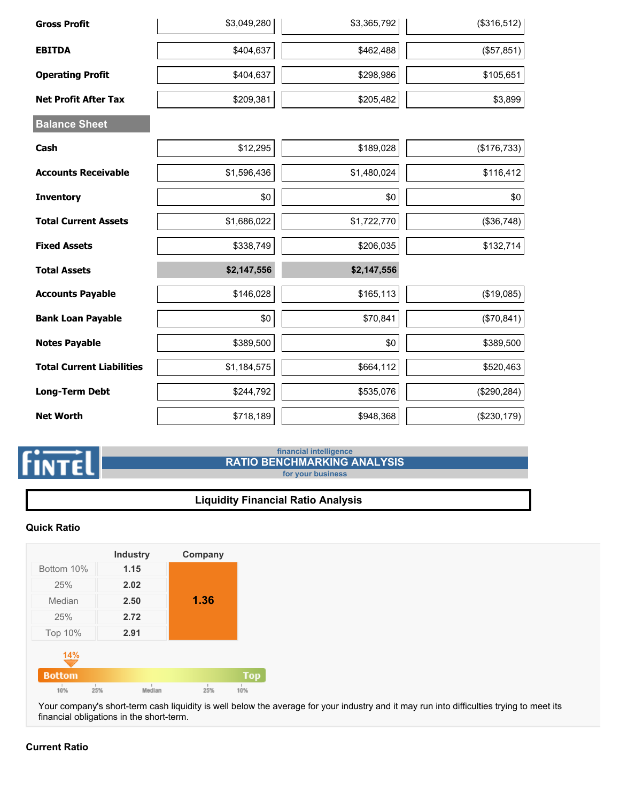| <b>Gross Profit</b>              | \$3,049,280 | \$3,365,792 | (\$316,512)  |
|----------------------------------|-------------|-------------|--------------|
| <b>EBITDA</b>                    | \$404,637   | \$462,488   | (\$57,851)   |
| <b>Operating Profit</b>          | \$404,637   | \$298,986   | \$105,651    |
| <b>Net Profit After Tax</b>      | \$209,381   | \$205,482   | \$3,899      |
| <b>Balance Sheet</b>             |             |             |              |
| Cash                             | \$12,295    | \$189,028   | (\$176,733)  |
| <b>Accounts Receivable</b>       | \$1,596,436 | \$1,480,024 | \$116,412    |
| <b>Inventory</b>                 | \$0         | \$0         | \$0          |
| <b>Total Current Assets</b>      | \$1,686,022 | \$1,722,770 | (\$36,748)   |
| <b>Fixed Assets</b>              | \$338,749   | \$206,035   | \$132,714    |
| <b>Total Assets</b>              | \$2,147,556 | \$2,147,556 |              |
| <b>Accounts Payable</b>          | \$146,028   | \$165,113   | (\$19,085)   |
| <b>Bank Loan Payable</b>         | \$0         | \$70,841    | (\$70, 841)  |
| <b>Notes Payable</b>             | \$389,500   | \$0         | \$389,500    |
| <b>Total Current Liabilities</b> | \$1,184,575 | \$664,112   | \$520,463    |
| <b>Long-Term Debt</b>            | \$244,792   | \$535,076   | (\$290, 284) |
| <b>Net Worth</b>                 | \$718,189   | \$948,368   | (\$230,179)  |

# **FINTEL**

## **financial intelligence RATIO BENCHMARKING ANALYSIS**

**for your business**

# **Liquidity Financial Ratio Analysis**

## **Quick Ratio**

|               | <b>Industry</b> | Company |            |
|---------------|-----------------|---------|------------|
| Bottom 10%    | 1.15            |         |            |
| 25%           | 2.02            |         |            |
| Median        | 2.50            | 1.36    |            |
| 25%           | 2.72            |         |            |
| Top 10%       | 2.91            |         |            |
| 14%           |                 |         |            |
| <b>Bottom</b> |                 |         | <b>Top</b> |
| 10%           | Median<br>25%   | 25%     | 10%        |

Your company's short-term cash liquidity is well below the average for your industry and it may run into difficulties trying to meet its financial obligations in the short-term.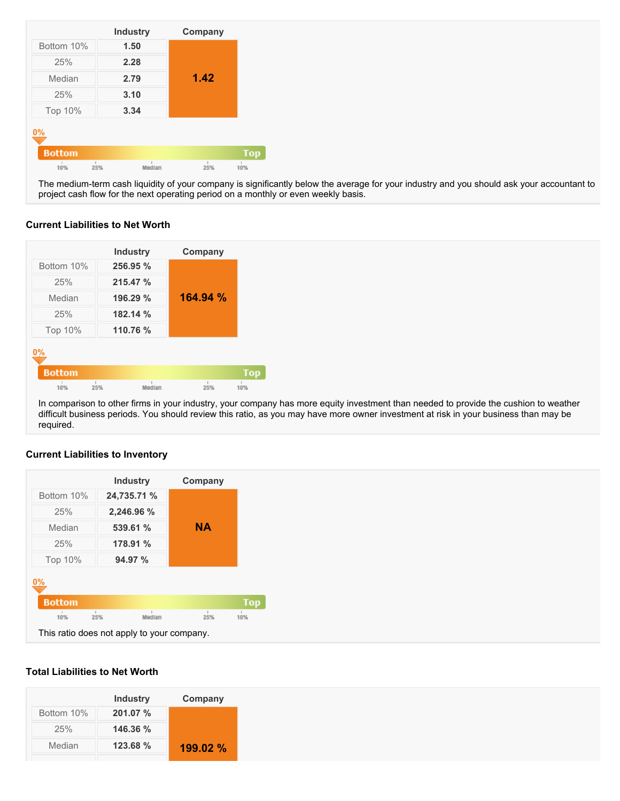|                             | <b>Industry</b> | Company |     |
|-----------------------------|-----------------|---------|-----|
| Bottom 10%                  | 1.50            |         |     |
| 25%                         | 2.28            |         |     |
| Median                      | 2.79            | 1.42    |     |
| 25%                         | 3.10            |         |     |
| Top 10%                     | 3.34            |         |     |
| $0\%$                       |                 |         |     |
| <b>Bottom</b>               |                 |         | Top |
| $\mathbbm{1}$<br>10%<br>25% | Median          | 25%     | 10% |

The medium-term cash liquidity of your company is significantly below the average for your industry and you should ask your accountant to project cash flow for the next operating period on a monthly or even weekly basis.

## **Current Liabilities to Net Worth**



In comparison to other firms in your industry, your company has more equity investment than needed to provide the cushion to weather difficult business periods. You should review this ratio, as you may have more owner investment at risk in your business than may be required.

# **Current Liabilities to Inventory**



#### **Total Liabilities to Net Worth**

|          | Company  |
|----------|----------|
| 201.07 % |          |
| 146.36 % |          |
| 123.68 % | 199.02 % |
|          |          |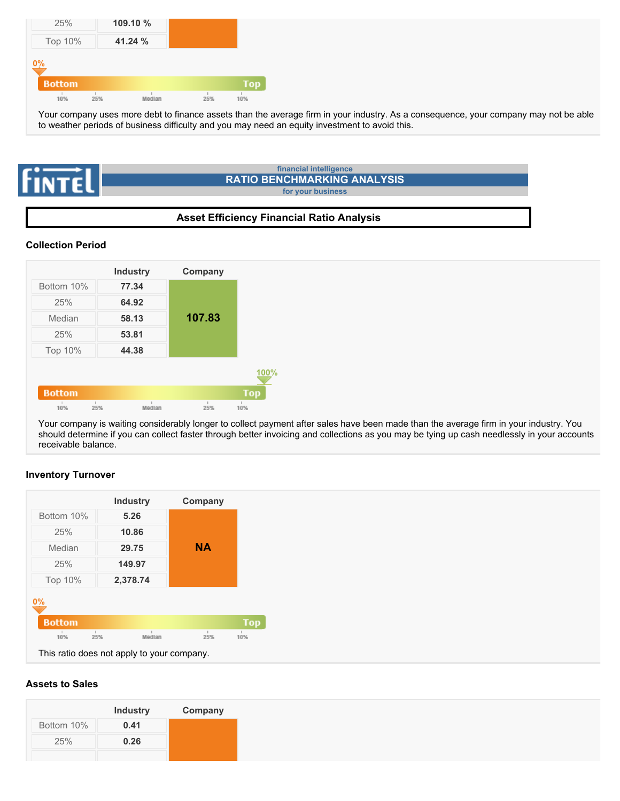| 25%           |     | 109.10 % |     |            |
|---------------|-----|----------|-----|------------|
| Top 10%       |     | 41.24 %  |     |            |
| 0%            |     |          |     |            |
| <b>Bottom</b> |     |          |     | <b>Top</b> |
| 10%           | 25% | Median   | 25% | 10%        |

Your company uses more debt to finance assets than the average firm in your industry. As a consequence, your company may not be able to weather periods of business difficulty and you may need an equity investment to avoid this.



## **Asset Efficiency Financial Ratio Analysis**

### **Collection Period**



Your company is waiting considerably longer to collect payment after sales have been made than the average firm in your industry. You should determine if you can collect faster through better invoicing and collections as you may be tying up cash needlessly in your accounts receivable balance.

#### **Inventory Turnover**



#### **Assets to Sales**

|            | <b>Industry</b> | Company |
|------------|-----------------|---------|
| Bottom 10% | 0.41            |         |
| 25%        | 0.26            |         |
|            |                 |         |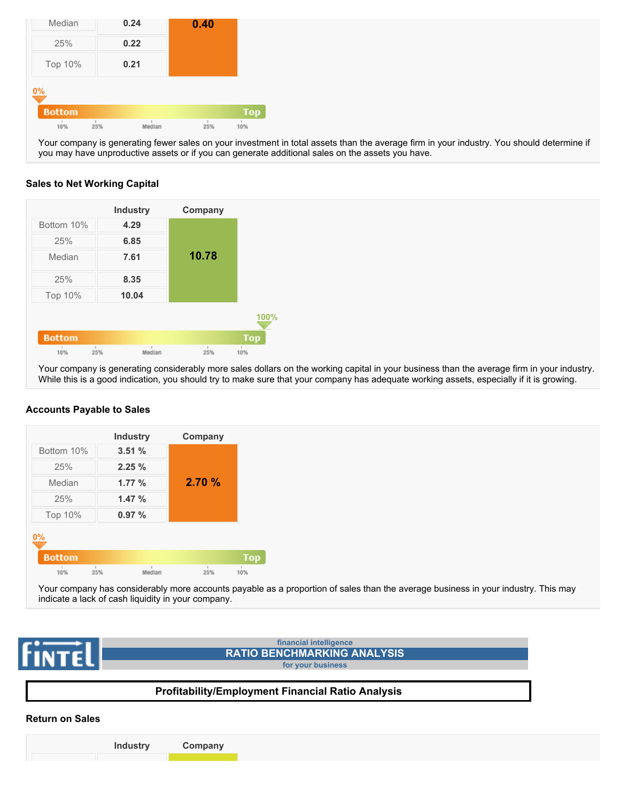| Median        | 0.24 |        | 0.40 |     |
|---------------|------|--------|------|-----|
| 25%           | 0.22 |        |      |     |
| Top 10%       | 0.21 |        |      |     |
| 0%            |      |        |      |     |
| <b>Bottom</b> |      |        |      | Top |
| 10%           | 25%  | Median | 25%  | 10% |

Your company is generating fewer sales on your investment in total assets than the average firm in your industry. You should determine if you may have unproductive assets or if you can generate additional sales on the assets you have.

#### **Sales to Net Working Capital**

|               | <b>Industry</b> | Company |      |
|---------------|-----------------|---------|------|
| Bottom 10%    | 4.29            |         |      |
| 25%           | 6.85            |         |      |
| Median        | 7.61            | 10.78   |      |
| 25%           | 8.35            |         |      |
| Top 10%       | 10.04           |         |      |
|               |                 |         | 100% |
| <b>Bottom</b> |                 |         | Top  |
| 10%<br>25%    | Median          | 25%     | 10%  |

Your company is generating considerably more sales dollars on the working capital in your business than the average firm in your industry. While this is a good indication, you should try to make sure that your company has adequate working assets, especially if it is growing.

#### **Accounts Payable to Sales**



Your company has considerably more accounts payable as a proportion of sales than the average business in your industry. This may indicate a lack of cash liquidity in your company.



#### **Return on Sales**

**Industry Company**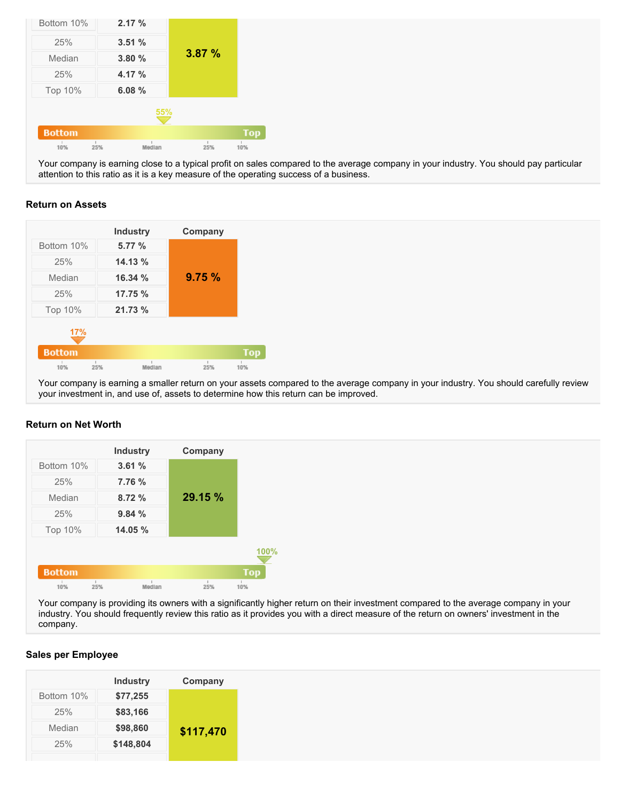| Bottom 10%    | 2.17%  |               |     |
|---------------|--------|---------------|-----|
| 25%           | 3.51%  |               |     |
| Median        | 3.80%  | 3.87%         |     |
| 25%           | 4.17 % |               |     |
| Top 10%       | 6.08%  |               |     |
|               |        | 55%           |     |
| <b>Bottom</b> |        |               | Top |
| 10%           | 25%    | Median<br>25% | 10% |

Your company is earning close to a typical profit on sales compared to the average company in your industry. You should pay particular attention to this ratio as it is a key measure of the operating success of a business.

#### **Return on Assets**

|               |     | <b>Industry</b> | Company |     |
|---------------|-----|-----------------|---------|-----|
| Bottom 10%    |     | 5.77 %          |         |     |
| 25%           |     | 14.13%          |         |     |
| Median        |     | 16.34%          | 9.75%   |     |
| 25%           |     | 17.75 %         |         |     |
| Top 10%       |     | 21.73%          |         |     |
| 17%           |     |                 |         |     |
| <b>Bottom</b> |     |                 |         | Top |
|               | 25% | Median          | 25%     | 10% |

Your company is earning a smaller return on your assets compared to the average company in your industry. You should carefully review your investment in, and use of, assets to determine how this return can be improved.

#### **Return on Net Worth**



Your company is providing its owners with a significantly higher return on their investment compared to the average company in your industry. You should frequently review this ratio as it provides you with a direct measure of the return on owners' investment in the company.

#### **Sales per Employee**

|            | <b>Industry</b> | Company   |
|------------|-----------------|-----------|
| Bottom 10% | \$77,255        |           |
| 25%        | \$83,166        |           |
| Median     | \$98,860        | \$117,470 |
| 25%        | \$148,804       |           |
|            |                 |           |